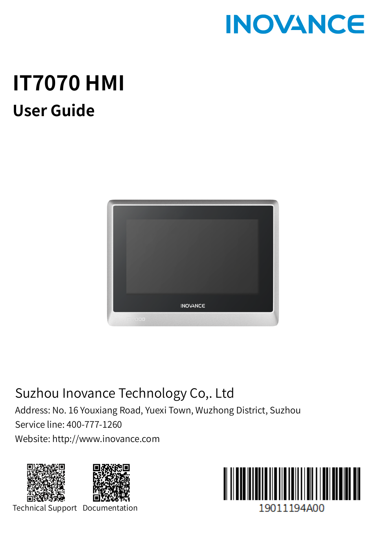

# **IT7070 HMI User Guide**



## Suzhou Inovance Technology Co,. Ltd

Address: No. 16 Youxiang Road, Yuexi Town, Wuzhong District, Suzhou Service line: 400-777-1260 Website: http://www.inovance.com





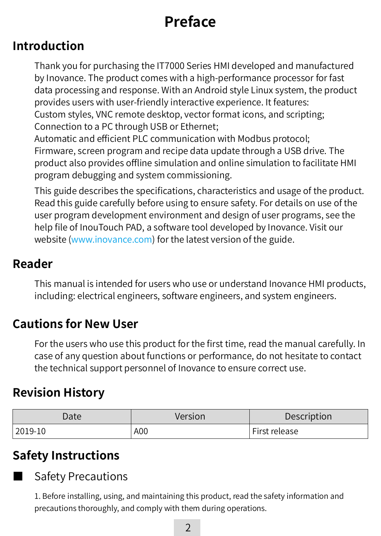## **Preface**

#### **Introduction**

Thank you for purchasing the IT7000 Series HMI developed and manufactured by Inovance. The product comes with a high-performance processor for fast data processing and response. With an Android style Linux system, the product provides users with user-friendly interactive experience. It features: Custom styles, VNC remote desktop, vector format icons, and scripting; Connection to a PC through USB or Ethernet; Automatic and efficient PLC communication with Modbus protocol;

Firmware, screen program and recipe data update through a USB drive. The product also provides offline simulation and online simulation to facilitate HMI program debugging and system commissioning.

This guide describes the specifications, characteristics and usage of the product. Read this guide carefully before using to ensure safety. For details on use of the user program development environment and design of user programs, see the help file of InouTouch PAD, a software tool developed by Inovance. Visit our website (www.inovance.com) for the latest version of the guide.

#### **Reader**

This manual is intended for users who use or understand Inovance HMI products, including: electrical engineers, software engineers, and system engineers.

#### **Cautions for New User**

For the users who use this product for the first time, read the manual carefully. In case of any question about functions or performance, do not hesitate to contact the technical support personnel of Inovance to ensure correct use.

#### **Revision History**

| Date    | Version | Description                |
|---------|---------|----------------------------|
| 2019-10 | A00     | <sup>I</sup> First release |

#### **Safety Instructions**



**Safety Precautions** 

1. Before installing, using, and maintaining this product, read the safety information and precautions thoroughly, and comply with them during operations.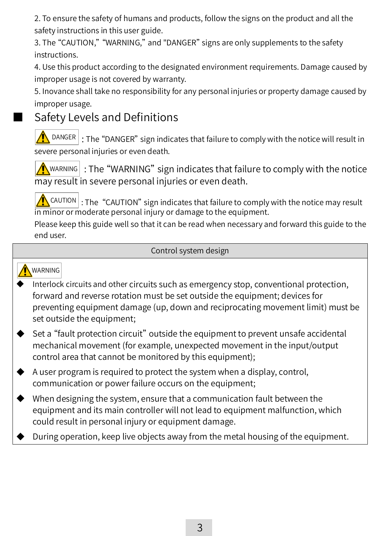2. To ensure the safety of humans and products, follow the signs on the product and all the safety instructions in this user guide.

3. The "CAUTION," "WARNING," and "DANGER" signs are only supplements to the safety instructions.

4. Use this product according to the designated environment requirements. Damage caused by improper usage is not covered by warranty.

5. Inovance shall take no responsibility for any personal injuries or property damage caused by improper usage.

#### Safety Levels and Definitions

 $D$ ANGER : The "DANGER" sign indicates that failure to comply with the notice will result in severe personal injuries or even death.

 $\sqrt{\mathbf{A}}$  WARNING" sign indicates that failure to comply with the notice may result in severe personal injuries or even death.

 $\left|\bigwedge^n$  CAUTION : The "CAUTION" sign indicates that failure to comply with the notice may result in minor or moderate personal injury or damage to the equipment.

Please keep this guide well so that it can be read when necessary and forward this guide to the end user.

#### Control system design

#### WARNING

- Interlock circuits and other circuits such as emergency stop, conventional protection, forward and reverse rotation must be set outside the equipment; devices for preventing equipment damage (up, down and reciprocating movement limit) must be set outside the equipment:
- Set a "fault protection circuit" outside the equipment to prevent unsafe accidental mechanical movement (for example, unexpected movement in the input/output control area that cannot be monitored by this equipment);
- A user program is required to protect the system when a display, control, communication or power failure occurs on the equipment;
- When designing the system, ensure that a communication fault between the equipment and its main controller will not lead to equipment malfunction, which could result in personal injury or equipment damage.
- During operation, keep live objects away from the metal housing of the equipment.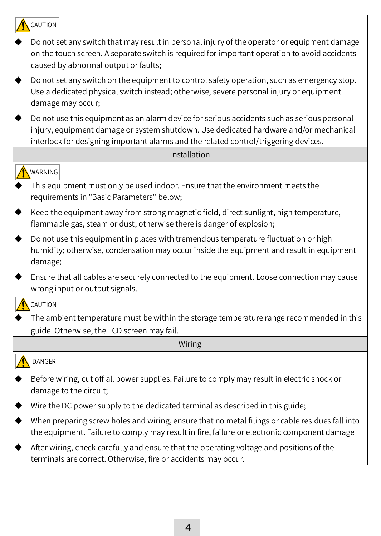| CAUTION                                                                                                                                                                                                                                                                      |
|------------------------------------------------------------------------------------------------------------------------------------------------------------------------------------------------------------------------------------------------------------------------------|
| Do not set any switch that may result in personal injury of the operator or equipment damage<br>on the touch screen. A separate switch is required for important operation to avoid accidents<br>caused by abnormal output or faults;                                        |
| Do not set any switch on the equipment to control safety operation, such as emergency stop.<br>Use a dedicated physical switch instead; otherwise, severe personal injury or equipment<br>damage may occur;                                                                  |
| Do not use this equipment as an alarm device for serious accidents such as serious personal<br>injury, equipment damage or system shutdown. Use dedicated hardware and/or mechanical<br>interlock for designing important alarms and the related control/triggering devices. |
| Installation                                                                                                                                                                                                                                                                 |
| WARNING<br>This equipment must only be used indoor. Ensure that the environment meets the<br>requirements in "Basic Parameters" below;                                                                                                                                       |
| Keep the equipment away from strong magnetic field, direct sunlight, high temperature,<br>flammable gas, steam or dust, otherwise there is danger of explosion;                                                                                                              |
| Do not use this equipment in places with tremendous temperature fluctuation or high<br>humidity; otherwise, condensation may occur inside the equipment and result in equipment<br>damage;                                                                                   |
| Ensure that all cables are securely connected to the equipment. Loose connection may cause<br>wrong input or output signals.                                                                                                                                                 |
| <b>CAUTION</b>                                                                                                                                                                                                                                                               |
| The ambient temperature must be within the storage temperature range recommended in this<br>guide. Otherwise, the LCD screen may fail.                                                                                                                                       |
| Wiring                                                                                                                                                                                                                                                                       |
| DANGER                                                                                                                                                                                                                                                                       |
| Before wiring, cut off all power supplies. Failure to comply may result in electric shock or<br>damage to the circuit;                                                                                                                                                       |
| Wire the DC power supply to the dedicated terminal as described in this guide;                                                                                                                                                                                               |
| When preparing screw holes and wiring, ensure that no metal filings or cable residues fall into<br>the equipment. Failure to comply may result in fire, failure or electronic component damage                                                                               |
| After wiring, check carefully and ensure that the operating voltage and positions of the<br>terminals are correct. Otherwise, fire or accidents may occur.                                                                                                                   |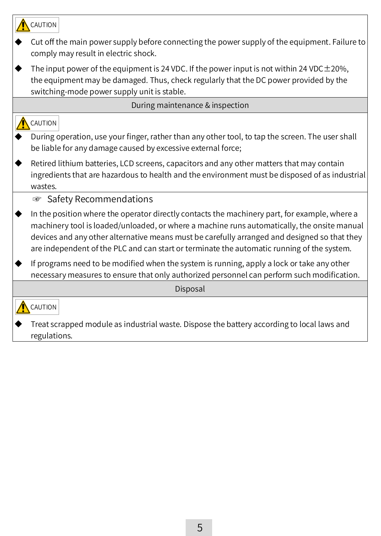| CAUTION                                                                                                                                                                                                                                                                                                                                                                                    |
|--------------------------------------------------------------------------------------------------------------------------------------------------------------------------------------------------------------------------------------------------------------------------------------------------------------------------------------------------------------------------------------------|
| Cut off the main power supply before connecting the power supply of the equipment. Failure to<br>comply may result in electric shock.                                                                                                                                                                                                                                                      |
| The input power of the equipment is 24 VDC. If the power input is not within 24 VDC $\pm$ 20%,<br>the equipment may be damaged. Thus, check regularly that the DC power provided by the<br>switching-mode power supply unit is stable.                                                                                                                                                     |
| During maintenance & inspection                                                                                                                                                                                                                                                                                                                                                            |
| CAUTION<br>During operation, use your finger, rather than any other tool, to tap the screen. The user shall<br>be liable for any damage caused by excessive external force;                                                                                                                                                                                                                |
| Retired lithium batteries, LCD screens, capacitors and any other matters that may contain<br>ingredients that are hazardous to health and the environment must be disposed of as industrial<br>wastes.                                                                                                                                                                                     |
| ☞ Safety Recommendations                                                                                                                                                                                                                                                                                                                                                                   |
| In the position where the operator directly contacts the machinery part, for example, where a<br>machinery tool is loaded/unloaded, or where a machine runs automatically, the onsite manual<br>devices and any other alternative means must be carefully arranged and designed so that they<br>are independent of the PLC and can start or terminate the automatic running of the system. |
| If programs need to be modified when the system is running, apply a lock or take any other<br>necessary measures to ensure that only authorized personnel can perform such modification.                                                                                                                                                                                                   |
| Disposal                                                                                                                                                                                                                                                                                                                                                                                   |
| CAUTION                                                                                                                                                                                                                                                                                                                                                                                    |
| Treat scrapped module as industrial waste. Dispose the battery according to local laws and<br>regulations.                                                                                                                                                                                                                                                                                 |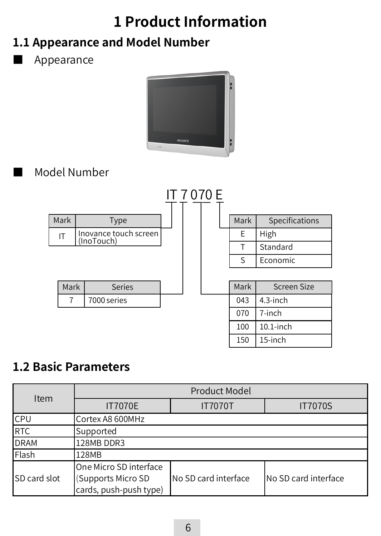## **1 Product Information**

## **1.1 Appearance and Model Number**

**Appearance** 



#### ■ Model Number



#### **1.2 Basic Parameters**

| Item                 | Product Model                                                          |                      |                      |  |  |  |
|----------------------|------------------------------------------------------------------------|----------------------|----------------------|--|--|--|
|                      | <b>IT7070E</b><br><b>IT7070T</b>                                       |                      | <b>IT7070S</b>       |  |  |  |
| <b>CPU</b>           | Cortex A8 600MHz                                                       |                      |                      |  |  |  |
| RTC                  | Supported                                                              |                      |                      |  |  |  |
| <b>DRAM</b>          | 128MB DDR3                                                             |                      |                      |  |  |  |
| <b>I</b> Flash       | 128MB                                                                  |                      |                      |  |  |  |
| <b>ISD card slot</b> | One Micro SD interface<br>(Supports Micro SD<br>cards, push-push type) | No SD card interface | No SD card interface |  |  |  |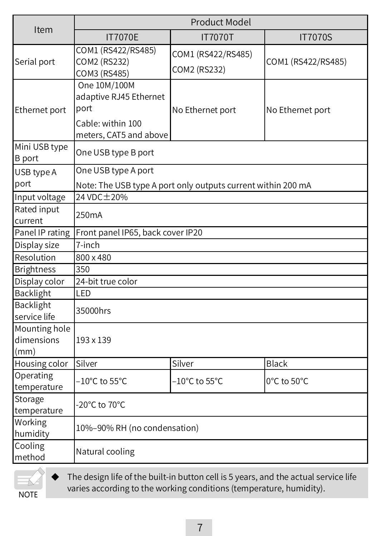|                                                                   | <b>Product Model</b>                                                                          |                                    |                    |  |  |
|-------------------------------------------------------------------|-----------------------------------------------------------------------------------------------|------------------------------------|--------------------|--|--|
| Item                                                              | <b>IT7070E</b>                                                                                | <b>IT7070T</b>                     | <b>IT7070S</b>     |  |  |
| COM1 (RS422/RS485)<br>Serial port<br>COM2 (RS232)<br>COM3 (RS485) |                                                                                               | COM1 (RS422/RS485)<br>COM2 (RS232) | COM1 (RS422/RS485) |  |  |
| Ethernet port                                                     | One 10M/100M<br>adaptive RJ45 Ethernet<br>port<br>Cable: within 100<br>meters, CAT5 and above | No Ethernet port                   | No Ethernet port   |  |  |
| Mini USB type<br><b>B</b> port                                    | One USB type B port                                                                           |                                    |                    |  |  |
| USB type A<br>port                                                | One USB type A port<br>Note: The USB type A port only outputs current within 200 mA           |                                    |                    |  |  |
| Input voltage                                                     | 24 VDC ± 20%                                                                                  |                                    |                    |  |  |
| Rated input<br>current                                            | 250 <sub>m</sub> A                                                                            |                                    |                    |  |  |
| Panel IP rating                                                   | Front panel IP65, back cover IP20                                                             |                                    |                    |  |  |
| Display size                                                      | 7-inch                                                                                        |                                    |                    |  |  |
| Resolution                                                        | 800 x 480                                                                                     |                                    |                    |  |  |
| <b>Brightness</b>                                                 | 350                                                                                           |                                    |                    |  |  |
| Display color                                                     | 24-bit true color                                                                             |                                    |                    |  |  |
| Backlight                                                         | LED                                                                                           |                                    |                    |  |  |
| <b>Backlight</b><br>service life                                  | 35000hrs                                                                                      |                                    |                    |  |  |
| Mounting hole<br>dimensions<br>$\mathsf{(mm)}$                    | 193 x 139                                                                                     |                                    |                    |  |  |
| Housing color                                                     | Silver                                                                                        | Silver                             | <b>Black</b>       |  |  |
| Operating<br>temperature                                          | $-10^{\circ}$ C to 55 $^{\circ}$ C<br>$-10^{\circ}$ C to 55 $^{\circ}$ C<br>0°C to 50°C       |                                    |                    |  |  |
| Storage<br>temperature                                            | -20°C to 70°C                                                                                 |                                    |                    |  |  |
| Working<br>humidity                                               | 10%-90% RH (no condensation)                                                                  |                                    |                    |  |  |
| Cooling<br>method                                                 | Natural cooling                                                                               |                                    |                    |  |  |

**NOTE** 

The design life of the built-in button cell is 5 years, and the actual service life varies according to the working conditions (temperature, humidity).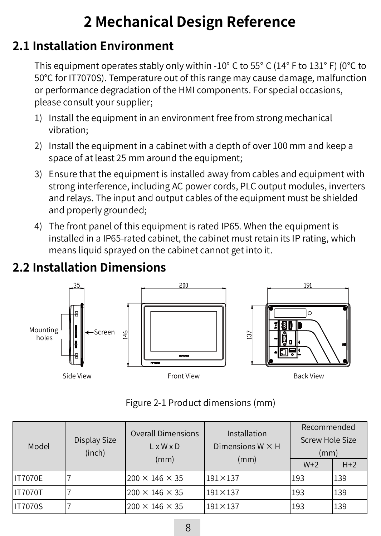## **2 Mechanical Design Reference**

### **2.1 Installation Environment**

This equipment operates stably only within -10° C to 55° C (14° F to 131° F) (0℃ to 50℃ for IT7070S). Temperature out of this range may cause damage, malfunction or performance degradation of the HMI components. For special occasions, please consult your supplier;

- 1) Install the equipment in an environment free from strong mechanical vibration;
- 2) Install the equipment in a cabinet with a depth of over 100 mm and keep a space of at least 25 mm around the equipment;
- 3) Ensure that the equipment is installed away from cables and equipment with strong interference, including AC power cords, PLC output modules, inverters and relays. The input and output cables of the equipment must be shielded and properly grounded;
- 4) The front panel of this equipment is rated IP65. When the equipment is installed in a IP65-rated cabinet, the cabinet must retain its IP rating, which means liquid sprayed on the cabinet cannot get into it.



## **2.2 Installation Dimensions**

#### Figure 2-1 Product dimensions (mm)

| Model          | <b>Overall Dimensions</b><br>Installation<br>Display Size<br>Dimensions $W \times H$<br>$L \times W \times D$<br>(inch)<br>(mm)<br>(mm) | Recommended<br>Screw Hole Size<br>(mm) |                  |       |       |
|----------------|-----------------------------------------------------------------------------------------------------------------------------------------|----------------------------------------|------------------|-------|-------|
|                |                                                                                                                                         |                                        |                  | $W+2$ | $H+2$ |
| <b>IT7070E</b> |                                                                                                                                         | $200 \times 146 \times 35$             | $191 \times 137$ | 193   | 139   |
| <b>IT7070T</b> |                                                                                                                                         | $200 \times 146 \times 35$             | $191\times137$   | 193   | 139   |
| <b>IT7070S</b> |                                                                                                                                         | $200 \times 146 \times 35$             | $191\times137$   | 193   | 139   |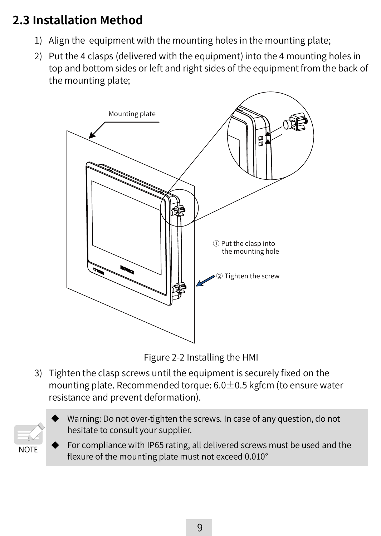## **2.3 Installation Method**

- 1) Align the equipment with the mounting holes in the mounting plate;
- 2) Put the 4 clasps (delivered with the equipment) into the 4 mounting holes in top and bottom sides or left and right sides of the equipment from the back of the mounting plate;



Figure 2-2 Installing the HMI

3) Tighten the clasp screws until the equipment is securely fixed on the mounting plate. Recommended torque: 6.0±0.5 kgfcm (to ensure water resistance and prevent deformation).



Warning: Do not over-tighten the screws. In case of any question, do not hesitate to consult your supplier.

For compliance with IP65 rating, all delivered screws must be used and the flexure of the mounting plate must not exceed 0.010°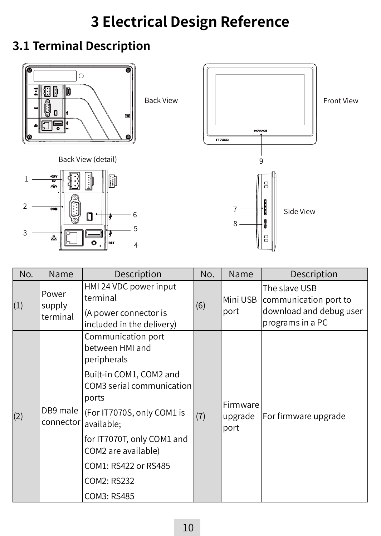## **3 Electrical Design Reference**

### **3.1 Terminal Description**



Back View (detail)





| NO. | Name                        | Description                                                                                                                                                                                                                                                                  | NO. | Name                        | Description                                                                           |
|-----|-----------------------------|------------------------------------------------------------------------------------------------------------------------------------------------------------------------------------------------------------------------------------------------------------------------------|-----|-----------------------------|---------------------------------------------------------------------------------------|
| (1) | Power<br>supply<br>terminal | HMI 24 VDC power input<br>terminal<br>(A power connector is<br>included in the delivery)                                                                                                                                                                                     | (6) | Mini USB<br>port            | The slave USB<br>communication port to<br>download and debug user<br>programs in a PC |
| (2) | DB9 male<br>connector       | Communication port<br>between HMI and<br>peripherals<br>Built-in COM1, COM2 and<br>COM3 serial communication<br>ports<br>(For IT7070S, only COM1 is<br>available:<br>for IT7070T, only COM1 and<br>COM2 are available)<br>COM1: RS422 or RS485<br>COM2: RS232<br>COM3: RS485 | (7) | Firmware<br>upgrade<br>port | For firmware upgrade                                                                  |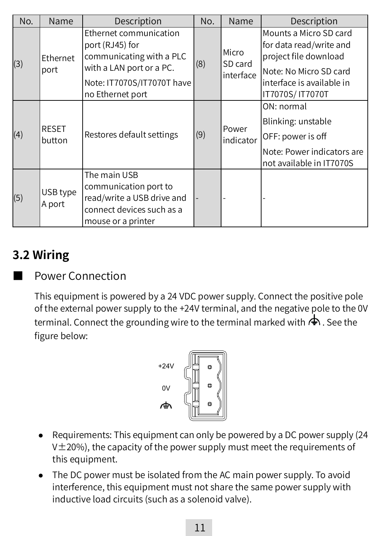| No. | Name                   | Description                                                                                                                                         | No. | Name                          | Description                                                                                                                                           |
|-----|------------------------|-----------------------------------------------------------------------------------------------------------------------------------------------------|-----|-------------------------------|-------------------------------------------------------------------------------------------------------------------------------------------------------|
| (3) | Ethernet<br>port       | Ethernet communication<br>port (RJ45) for<br>communicating with a PLC<br>with a LAN port or a PC.<br>Note: IT7070S/IT7070T have<br>no Ethernet port | (8) | Micro<br>SD card<br>interface | Mounts a Micro SD card<br>for data read/write and<br>project file download<br>Note: No Micro SD card<br>interface is available in<br>IT7070S/ IT7070T |
| (4) | <b>RESET</b><br>button | Restores default settings                                                                                                                           | (9) | Power<br>indicator            | ON: normal<br>Blinking: unstable<br>OFF: power is off<br>Note: Power indicators are<br>not available in IT7070S                                       |
| (5) | USB type<br>A port     | The main USB<br>communication port to<br>read/write a USB drive and<br>connect devices such as a<br>mouse or a printer                              |     |                               |                                                                                                                                                       |

### **3.2 Wiring**

Power Connection

This equipment is powered by a 24 VDC power supply. Connect the positive pole of the external power supply to the +24V terminal, and the negative pole to the 0V terminal. Connect the grounding wire to the terminal marked with  $\spadesuit$  . See the figure below:



- Requirements: This equipment can only be powered by a DC power supply (24  $V±20%$ ), the capacity of the power supply must meet the requirements of this equipment.
- The DC power must be isolated from the AC main power supply. To avoid interference, this equipment must not share the same power supply with inductive load circuits (such as a solenoid valve).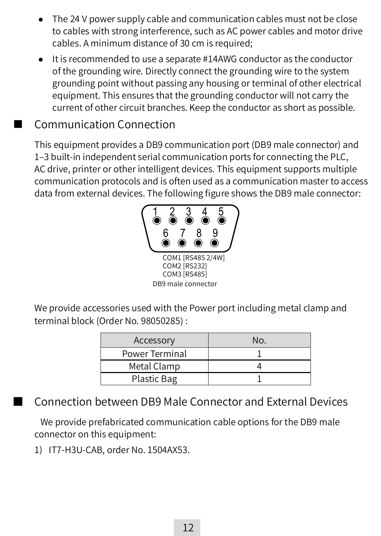- The 24 V power supply cable and communication cables must not be close to cables with strong interference, such as AC power cables and motor drive cables. A minimum distance of 30 cm is required;
- It is recommended to use a separate #14AWG conductor as the conductor of the grounding wire. Directly connect the grounding wire to the system grounding point without passing any housing or terminal of other electrical equipment. This ensures that the grounding conductor will not carry the current of other circuit branches. Keep the conductor as short as possible.

#### Communication Connection

This equipment provides a DB9 communication port (DB9 male connector) and 1–3 built-in independent serial communication ports for connecting the PLC, AC drive, printer or other intelligent devices. This equipment supports multiple communication protocols and is often used as a communication master to access data from external devices. The following figure shows the DB9 male connector:



We provide accessories used with the Power port including metal clamp and terminal block (Order No. 98050285) :

| Accessory      | No. |
|----------------|-----|
| Power Terminal |     |
| Metal Clamp    |     |
| Plastic Bag    |     |

Connection between DB9 Male Connector and External Devices

 We provide prefabricated communication cable options for the DB9 male connector on this equipment:

1) IT7-H3U-CAB, order No. 1504AX53.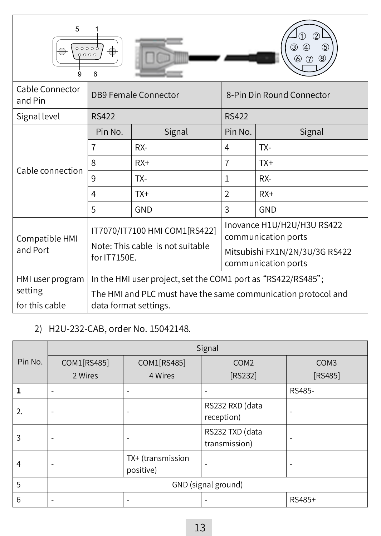| 5<br>$\circledS$<br>,,,,,<br>0000<br>(8)<br>6<br>9<br>่ค                                                        |                                                                                                                               |                                                                                                            |                |                           |  |
|-----------------------------------------------------------------------------------------------------------------|-------------------------------------------------------------------------------------------------------------------------------|------------------------------------------------------------------------------------------------------------|----------------|---------------------------|--|
| Cable Connector<br>and Pin                                                                                      |                                                                                                                               | <b>DB9 Female Connector</b>                                                                                |                | 8-Pin Din Round Connector |  |
| Signal level                                                                                                    | <b>RS422</b>                                                                                                                  |                                                                                                            | <b>RS422</b>   |                           |  |
|                                                                                                                 | Pin No.                                                                                                                       | Signal                                                                                                     | Pin No.        | Signal                    |  |
|                                                                                                                 | 7                                                                                                                             | RX-                                                                                                        | 4              | TX-                       |  |
| Cable connection                                                                                                | $\mathsf{\mathsf{R}}$                                                                                                         | $RX+$                                                                                                      | $\overline{7}$ | $TX+$                     |  |
|                                                                                                                 | 9                                                                                                                             | TX-                                                                                                        | $\mathbf{1}$   | RX-                       |  |
|                                                                                                                 | 4                                                                                                                             | $TX+$                                                                                                      | $\overline{2}$ | $RX+$                     |  |
|                                                                                                                 | 5                                                                                                                             | GND                                                                                                        | 3              | GND                       |  |
| IT7070/IT7100 HMI COM1[RS422]<br>Compatible HMI<br>Note: This cable is not suitable<br>and Port<br>for IT7150E. |                                                                                                                               | Inovance H1U/H2U/H3U RS422<br>communication ports<br>Mitsubishi FX1N/2N/3U/3G RS422<br>communication ports |                |                           |  |
| HMI user program<br>setting                                                                                     | In the HMI user project, set the COM1 port as "RS422/RS485";<br>The HMI and PLC must have the same communication protocol and |                                                                                                            |                |                           |  |
| for this cable                                                                                                  | data format settings.                                                                                                         |                                                                                                            |                |                           |  |

#### 2) H2U-232-CAB, order No. 15042148.

|         | Signal              |                                |                                  |                  |  |  |  |
|---------|---------------------|--------------------------------|----------------------------------|------------------|--|--|--|
| Pin No. | COM1[RS485]         | COM1[RS485]                    | COM <sub>2</sub>                 | COM <sub>3</sub> |  |  |  |
|         | 2 Wires             | 4 Wires                        | [RS232]                          | [RS485]          |  |  |  |
|         | ۰                   | $\overline{\phantom{a}}$       | ۰                                | RS485-           |  |  |  |
| 2.      | ٠                   |                                | RS232 RXD (data<br>reception)    |                  |  |  |  |
| 3       |                     |                                | RS232 TXD (data<br>transmission) |                  |  |  |  |
| 4       | ۰                   | TX+ (transmission<br>positive) | ۰                                |                  |  |  |  |
| 5       | GND (signal ground) |                                |                                  |                  |  |  |  |
| 6       |                     |                                |                                  | RS485+           |  |  |  |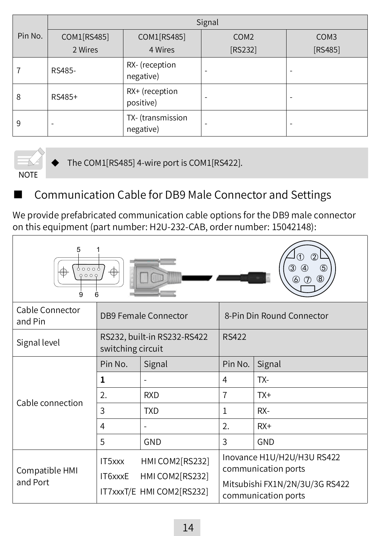|         | Signal      |                                |                  |                  |  |  |
|---------|-------------|--------------------------------|------------------|------------------|--|--|
| Pin No. | COM1[RS485] | COM1[RS485]                    | COM <sub>2</sub> | COM <sub>3</sub> |  |  |
|         | 2 Wires     | 4 Wires                        | [RS232]          | [RS485]          |  |  |
|         | RS485-      | RX- (reception<br>negative)    | -                |                  |  |  |
| 8       | RS485+      | RX+ (reception<br>positive)    | -                |                  |  |  |
| 9       | ۰           | TX- (transmission<br>negative) | -                |                  |  |  |



The COM1[RS485] 4-wire port is COM1[RS422].

### Communication Cable for DB9 Male Connector and Settings

We provide prefabricated communication cable options for the DB9 male connector on this equipment (part number: H2U-232-CAB, order number: 15042148):

| 5<br>(5)<br>90009<br>⊕<br>0000<br>$^{\circledR}$<br>6<br>g |                                                  |                                                                 |                           |                                                                                                            |  |
|------------------------------------------------------------|--------------------------------------------------|-----------------------------------------------------------------|---------------------------|------------------------------------------------------------------------------------------------------------|--|
| Cable Connector<br>and Pin                                 | <b>DB9 Female Connector</b>                      |                                                                 | 8-Pin Din Round Connector |                                                                                                            |  |
| Signal level                                               | RS232, built-in RS232-RS422<br>switching circuit |                                                                 | <b>RS422</b>              |                                                                                                            |  |
| Cable connection                                           | Pin No.                                          | Signal                                                          | Pin No.                   | Signal                                                                                                     |  |
|                                                            | 1                                                |                                                                 | $\overline{4}$            | TX-                                                                                                        |  |
|                                                            | 2.                                               | <b>RXD</b>                                                      | 7                         | $TX+$                                                                                                      |  |
|                                                            | 3                                                | <b>TXD</b>                                                      | $\mathbf{1}$              | RX-                                                                                                        |  |
|                                                            | 4                                                |                                                                 | $\overline{2}$ .          | $RX+$                                                                                                      |  |
|                                                            | 5                                                | GND                                                             | 3                         | GND                                                                                                        |  |
| Compatible HMI<br>and Port                                 | IT5xxx<br>IT6xxxE                                | HMI COM2[RS232]<br>HMI COM2[RS232]<br>IT7xxxT/E HMI COM2[RS232] |                           | Inovance H1U/H2U/H3U RS422<br>communication ports<br>Mitsubishi FX1N/2N/3U/3G RS422<br>communication ports |  |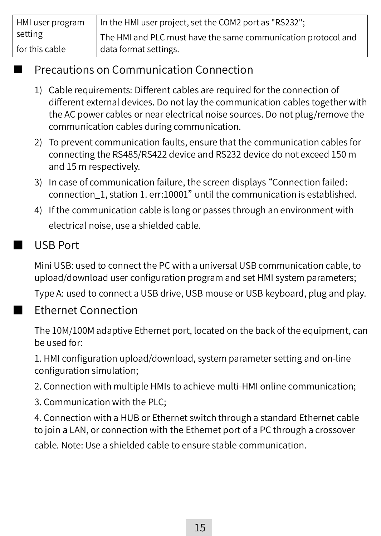| HMI user program | In the HMI user project, set the COM2 port as "RS232";        |
|------------------|---------------------------------------------------------------|
| setting          | The HMI and PLC must have the same communication protocol and |
| for this cable   | data format settings.                                         |

#### **Precautions on Communication Connection**

- 1) Cable requirements: Different cables are required for the connection of different external devices. Do not lay the communication cables together with the AC power cables or near electrical noise sources. Do not plug/remove the communication cables during communication.
- 2) To prevent communication faults, ensure that the communication cables for connecting the RS485/RS422 device and RS232 device do not exceed 150 m and 15 m respectively.
- 3) In case of communication failure, the screen displays "Connection failed: connection\_1, station 1. err:10001" until the communication is established.
- 4) If the communication cable is long or passes through an environment with electrical noise, use a shielded cable.

#### ■ USB Port

Mini USB: used to connect the PC with a universal USB communication cable, to upload/download user configuration program and set HMI system parameters;

Type A: used to connect a USB drive, USB mouse or USB keyboard, plug and play.

#### **Ethernet Connection**

The 10M/100M adaptive Ethernet port, located on the back of the equipment, can be used for:

1. HMI configuration upload/download, system parameter setting and on-line configuration simulation;

2. Connection with multiple HMIs to achieve multi-HMI online communication;

3. Communication with the PLC;

4. Connection with a HUB or Ethernet switch through a standard Ethernet cable to join a LAN, or connection with the Ethernet port of a PC through a crossover cable. Note: Use a shielded cable to ensure stable communication.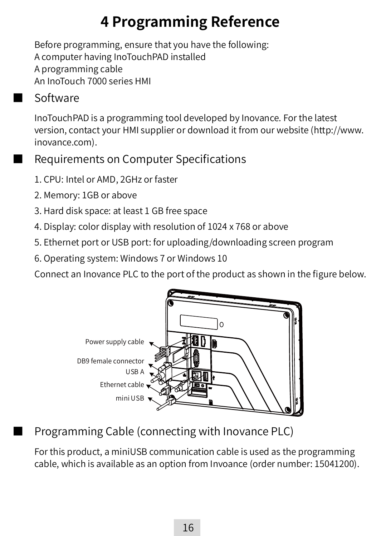## **4 Programming Reference**

Before programming, ensure that you have the following: A computer having InoTouchPAD installed A programming cable An InoTouch 7000 series HMI

#### ■ Software

InoTouchPAD is a programming tool developed by Inovance. For the latest version, contact your HMI supplier or download it from our website (http://www. inovance.com).

Requirements on Computer Specifications

- 1. CPU: Intel or AMD, 2GHz or faster
- 2. Memory: 1GB or above
- 3. Hard disk space: at least 1 GB free space
- 4. Display: color display with resolution of 1024 x 768 or above
- 5. Ethernet port or USB port: for uploading/downloading screen program
- 6. Operating system: Windows 7 or Windows 10

Connect an Inovance PLC to the port of the product as shown in the figure below.



## Programming Cable (connecting with Inovance PLC)

For this product, a miniUSB communication cable is used as the programming cable, which is available as an option from Invoance (order number: 15041200).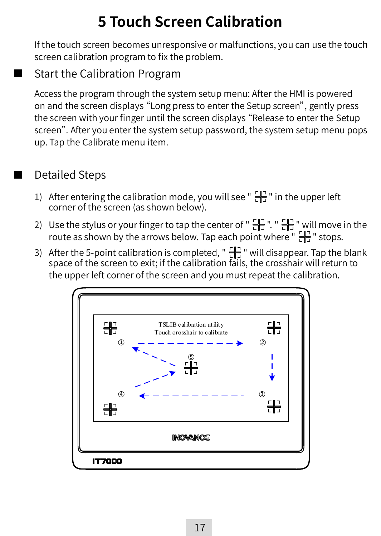## **5 Touch Screen Calibration**

If the touch screen becomes unresponsive or malfunctions, you can use the touch screen calibration program to fix the problem.

#### **Start the Calibration Program**

Access the program through the system setup menu: After the HMI is powered on and the screen displays "Long press to enter the Setup screen", gently press the screen with your finger until the screen displays "Release to enter the Setup screen". After you enter the system setup password, the system setup menu pops up. Tap the Calibrate menu item.

#### Detailed Steps

- 1) After entering the calibration mode, you will see " $\frac{1}{n+1}$ " in the upper left corner of the screen (as shown below).
- 2) Use the stylus or your finger to tap the center of " $\frac{1}{\sqrt{1}}$ ". " $\frac{1}{\sqrt{1}}$ " will move in the route as shown by the arrows below. Tap each point where " $\frac{1}{\sqrt{1}}$ " stops.
- 3) After the 5-point calibration is completed, " $\frac{1}{\sqrt{2}}$ " will disappear. Tap the blank space of the screen to exit; if the calibration fails, the crosshair will return to the upper left corner of the screen and you must repeat the calibration.